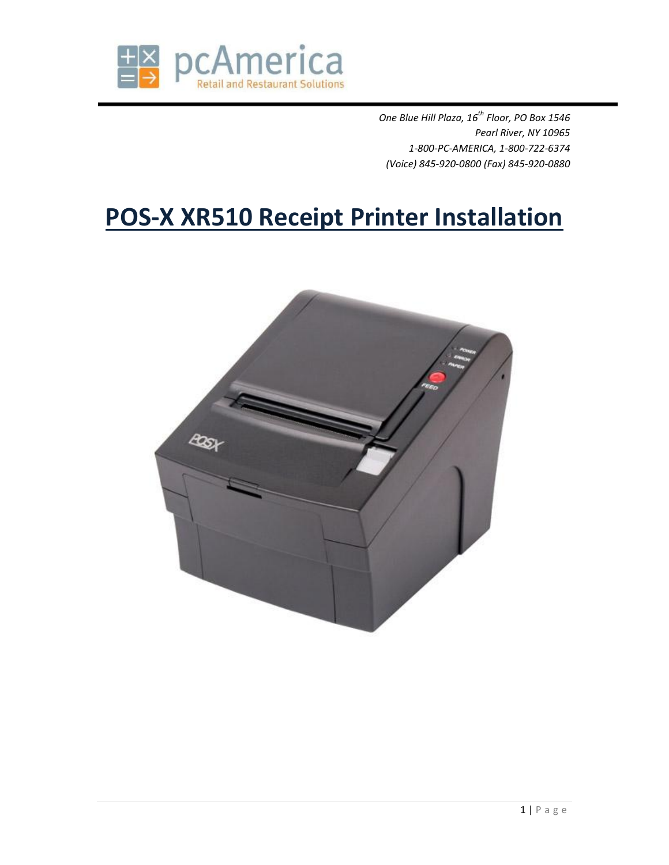

*One Blue Hill Plaza, 16th Floor, PO Box 1546 Pearl River, NY 10965 1-800-PC-AMERICA, 1-800-722-6374 (Voice) 845-920-0800 (Fax) 845-920-0880*

## **POS-X XR510 Receipt Printer Installation**

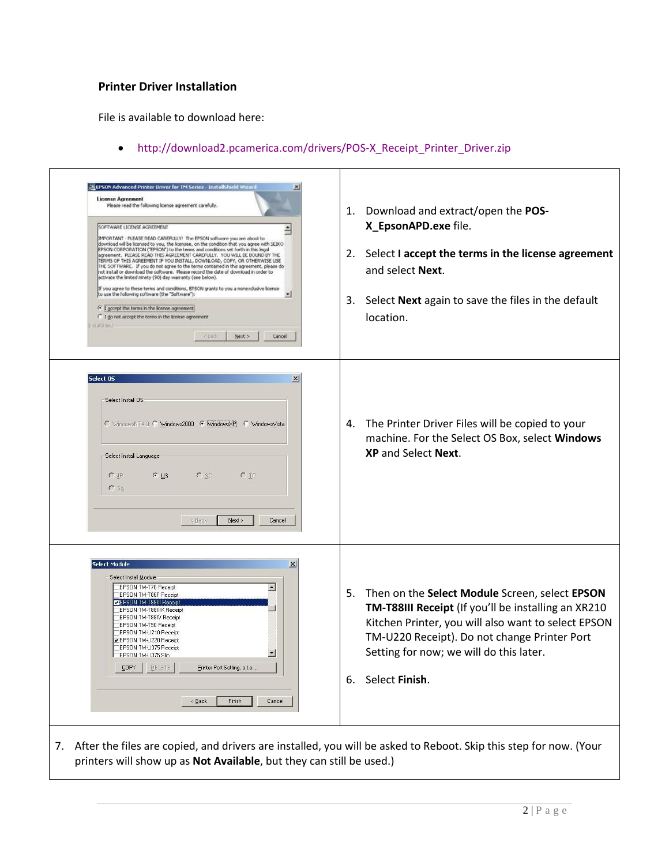## **Printer Driver Installation**

File is available to download here:

http://download2.pcamerica.com/drivers/POS-X\_Receipt\_Printer\_Driver.zip

| LIPSON Advanced Printer Driver for TM Series - Installshield Wizard<br><b>License Agreement</b><br>Please read the following license agreement carefully.<br>SOFTWARE LICENSE AGREEMENT<br>≐<br>IMPORTANT - PLEASE READ CAREFULLY! The EPSON software you are about to<br>download will be licensed to you, the licensee, on the condition that you agree with SEIKO<br>EPSON CORPORATION ("EPSON") to the terms and conditions set forth in this legal<br>agreement. PLEASE READ THIS AGREEMENT CAREFULLY. YOU WILL BE BOUND BY THE<br>TERMS OF THIS AGREEMENT IF YOU INSTALL, DOWNLOAD, COPY, OR OTHERWISE USE<br>THE SOFTWARE. If you do not agree to the terms contained in this agreement, please do<br>not install or download the software. Please record the date of download in order to<br>activate the limited ninety (90) day warranty (see below).<br>If you agree to these terms and conditions, EPSON grants to you a nonexclusive license<br>to use the following software (the "Software"):<br>F I accept the terms in the license agreement<br>C I do not accept the terms in the license agreement<br>histal Street<br><bbk<br>Next &gt;<br/>Cancel</bbk<br> | 1. Download and extract/open the POS-<br>X_EpsonAPD.exe file.<br>2. Select I accept the terms in the license agreement<br>and select Next.<br>3. Select Next again to save the files in the default<br>location.                                                                |
|---------------------------------------------------------------------------------------------------------------------------------------------------------------------------------------------------------------------------------------------------------------------------------------------------------------------------------------------------------------------------------------------------------------------------------------------------------------------------------------------------------------------------------------------------------------------------------------------------------------------------------------------------------------------------------------------------------------------------------------------------------------------------------------------------------------------------------------------------------------------------------------------------------------------------------------------------------------------------------------------------------------------------------------------------------------------------------------------------------------------------------------------------------------------------------|---------------------------------------------------------------------------------------------------------------------------------------------------------------------------------------------------------------------------------------------------------------------------------|
| Select 05<br>$\vert x \vert$<br>Select Install OS<br>C WindowsNT4.0 C Windows2000 G WindowsXP C WindowsVista<br>Select Install Language<br>$G$ US<br>$C$ JP<br>$C$ SC<br>$C$ TC<br>$C$ SA<br>< Back<br>Next ><br>Cancel                                                                                                                                                                                                                                                                                                                                                                                                                                                                                                                                                                                                                                                                                                                                                                                                                                                                                                                                                         | 4. The Printer Driver Files will be copied to your<br>machine. For the Select OS Box, select Windows<br><b>XP</b> and Select <b>Next</b> .                                                                                                                                      |
| elect Module<br>$\overline{\mathbf{x}}$<br>Select Install Module<br>EPSON TM-T70 Receipt<br>$\blacktriangle$<br>EPSON TM-T86F Receipt<br><b>DEPSON TM-T88III Receipt</b><br>EPSON TM-T88IIIX Receipt<br><b>EPSON TM-T88IV Receipt</b><br>EPSON TM-T90 Receipt<br>EPSON TM-U210 Receipt<br><b>JEPSON TM-U220 Receipt</b><br>EPSON TM-U375 Receipt<br>◛<br>TEPSON TM-LI375 Slin<br>DELETE<br>COPY<br>Printer Port Setting, e.t.c<br>$\leq$ Back<br>Finish<br>Cancel                                                                                                                                                                                                                                                                                                                                                                                                                                                                                                                                                                                                                                                                                                               | 5. Then on the Select Module Screen, select EPSON<br>TM-T88III Receipt (If you'll be installing an XR210<br>Kitchen Printer, you will also want to select EPSON<br>TM-U220 Receipt). Do not change Printer Port<br>Setting for now; we will do this later.<br>6. Select Finish. |

7. After the files are copied, and drivers are installed, you will be asked to Reboot. Skip this step for now. (Your printers will show up as **Not Available**, but they can still be used.)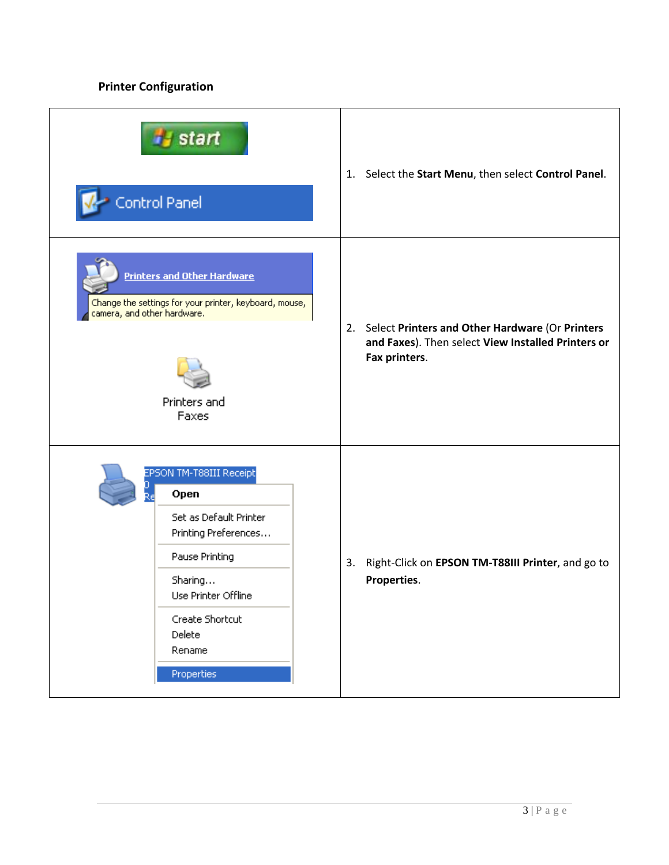## **Printer Configuration**

| start<br>Control Panel                                                                                                                                                                     |  | 1. Select the Start Menu, then select Control Panel.                                                                      |
|--------------------------------------------------------------------------------------------------------------------------------------------------------------------------------------------|--|---------------------------------------------------------------------------------------------------------------------------|
| <b>Printers and Other Hardware</b><br>Change the settings for your printer, keyboard, mouse,<br>camera, and other hardware.<br>Printers and<br>Faxes                                       |  | 2. Select Printers and Other Hardware (Or Printers<br>and Faxes). Then select View Installed Printers or<br>Fax printers. |
| EPSON TM-T88III Receipt<br>Open<br>Set as Default Printer<br>Printing Preferences<br>Pause Printing<br>Sharing<br>Use Printer Offline<br>Create Shortcut<br>Delete<br>Rename<br>Properties |  | 3. Right-Click on EPSON TM-T88III Printer, and go to<br>Properties.                                                       |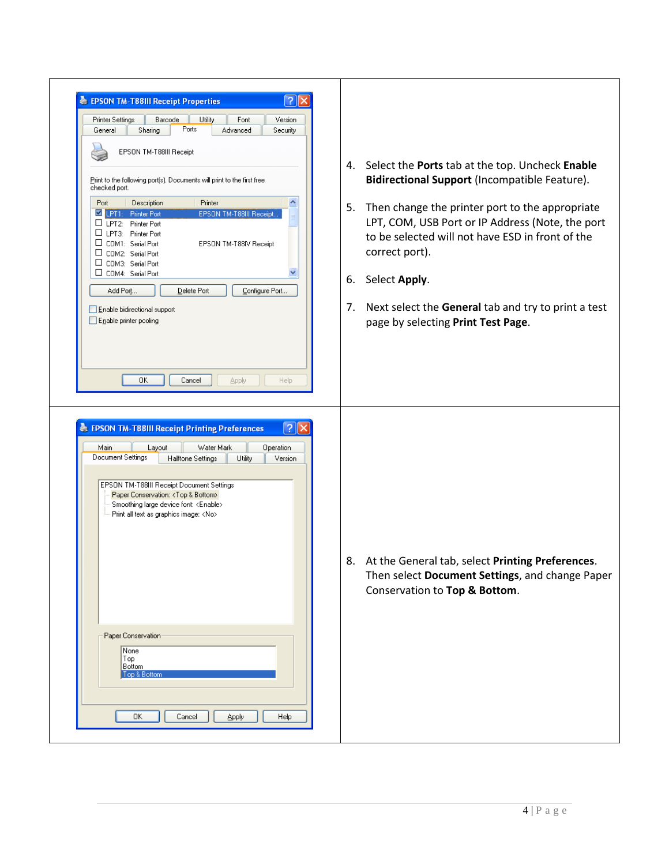| $\sqrt{2}$<br><b>EPSON TM-T88III Receipt Properties</b><br>Printer Settings<br>Utility<br>Barcode<br>Font<br>Version<br>Ports<br>Advanced<br>General<br>Sharing<br>Security<br>EPSON TM-T88III Receipt<br>Print to the following port(s). Documents will print to the first free<br>checked port.<br>Description<br>Printer<br>Port<br>LPT1: Printer Port<br>EPSON TM-T88III Receipt.<br>LPT2: Printer Port<br>LPT3: Printer Port<br>COM1: Serial Port<br>EPSON TM-T88IV Receipt<br>COM2: Serial Port<br>COM3: Serial Port<br>□ COM4: Serial Port<br>Add Port<br>Configure Port<br>Delete Port<br>Enable bidirectional support<br>Enable printer pooling | 6.<br>7. | 4. Select the Ports tab at the top. Uncheck Enable<br>Bidirectional Support (Incompatible Feature).<br>5. Then change the printer port to the appropriate<br>LPT, COM, USB Port or IP Address (Note, the port<br>to be selected will not have ESD in front of the<br>correct port).<br>Select Apply.<br>Next select the General tab and try to print a test<br>page by selecting Print Test Page. |
|----------------------------------------------------------------------------------------------------------------------------------------------------------------------------------------------------------------------------------------------------------------------------------------------------------------------------------------------------------------------------------------------------------------------------------------------------------------------------------------------------------------------------------------------------------------------------------------------------------------------------------------------------------|----------|---------------------------------------------------------------------------------------------------------------------------------------------------------------------------------------------------------------------------------------------------------------------------------------------------------------------------------------------------------------------------------------------------|
| OΚ<br>Cancel<br>Help<br><b>Apply</b><br>$\sqrt{2}$<br><b>EPSON TM-T88III Receipt Printing Preferences</b><br>Main<br>Layout<br>Water Mark<br>Operation<br>Document Settings<br>Utility<br>Halftone Settings<br>Version<br>EPSON TM-T88III Receipt Document Settings<br>Paper Conservation: <top &="" bottom=""><br/>Smoothing large device font: <enable><br/>Print all text as graphics image: <no><br/>Paper Conservation<br/>None<br/>Top<br/>Bottom<br/>Top &amp; Bottom<br/>0K<br/>Help<br/>Cancel<br/>Apply</no></enable></top>                                                                                                                    |          | 8. At the General tab, select Printing Preferences.<br>Then select Document Settings, and change Paper<br>Conservation to Top & Bottom.                                                                                                                                                                                                                                                           |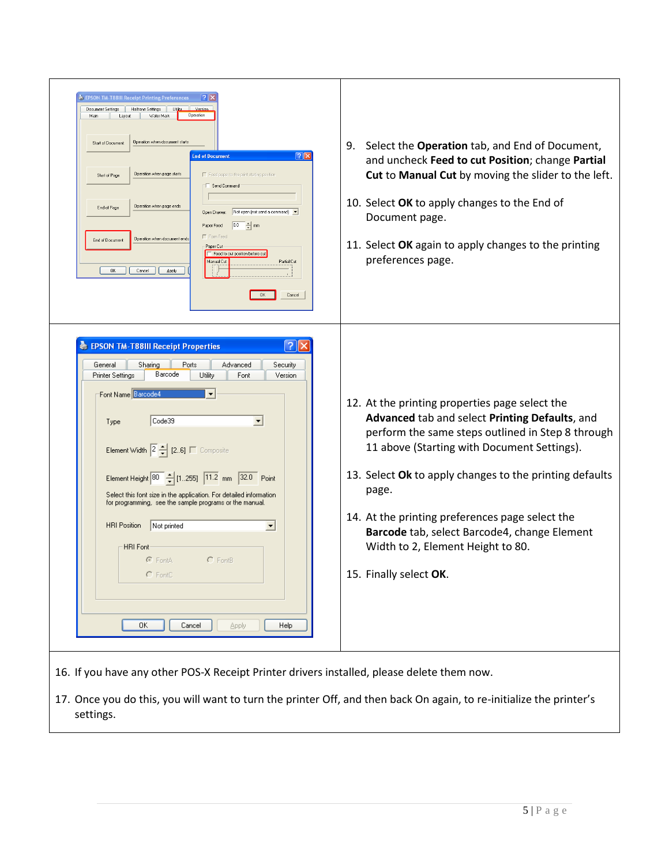| EPSON TM-T88III Receipt Printing Preferences<br>$ ?  \times$<br>Halftone Settings<br>Versio<br>Document Settings<br>Utility<br>Water Mark<br>Operation<br>Layout<br>Main<br>Operation when document starts<br>Start of Documen<br>$  2  \times$<br><b>End of Document</b><br>Operation when page starts<br>Feed paper to the print starting position<br>Start of Page<br>Send Command<br>Operation when page ends<br>End of Page<br>Not open (not send a command) v<br>Open Drawer:<br>$\boxed{0.0}$ $\frac{1}{2}$ mm<br>Paper Feed<br>Form Fee<br>Operation when document ends<br>End of Document<br>Paper Cul<br>F Feed to cut position before cut<br>Manual Cut<br>Partial Cut<br>0K<br>Cancel<br>Apply<br>OK.<br>Cancel<br> 3 <br><b>EPSON TM-T88III Receipt Properties</b> | Select the <b>Operation</b> tab, and End of Document,<br>9.<br>and uncheck Feed to cut Position; change Partial<br>Cut to Manual Cut by moving the slider to the left.<br>10. Select OK to apply changes to the End of<br>Document page.<br>11. Select OK again to apply changes to the printing<br>preferences page.                                                                                                                      |
|---------------------------------------------------------------------------------------------------------------------------------------------------------------------------------------------------------------------------------------------------------------------------------------------------------------------------------------------------------------------------------------------------------------------------------------------------------------------------------------------------------------------------------------------------------------------------------------------------------------------------------------------------------------------------------------------------------------------------------------------------------------------------------|--------------------------------------------------------------------------------------------------------------------------------------------------------------------------------------------------------------------------------------------------------------------------------------------------------------------------------------------------------------------------------------------------------------------------------------------|
| Advanced<br>General<br>Sharing<br>Ports<br>Security<br>Barcode<br>Printer Settings<br>Utility<br>Font<br>Version<br>Font Name Barcode4<br>$\overline{\phantom{a}}$<br>Code39<br>$\blacktriangledown$<br>Type<br>Element Width $\boxed{2}$ $\frac{1}{2}$ $\boxed{2.6}$ $\boxed{ }$ Composite<br>Element Height 80 - [1.255] 11.2 mm 32.0 Point<br>Select this font size in the application. For detailed information<br>for programming, see the sample programs or the manual.<br>Not printed<br><b>HRI</b> Position<br>$\blacktriangledown$<br><b>HRI Font</b><br>C FontA<br>$C$ FontB<br>$C$ FontC<br>0K<br>Cancel<br>Apply<br>Help                                                                                                                                           | 12. At the printing properties page select the<br>Advanced tab and select Printing Defaults, and<br>perform the same steps outlined in Step 8 through<br>11 above (Starting with Document Settings).<br>13. Select Ok to apply changes to the printing defaults<br>page.<br>14. At the printing preferences page select the<br>Barcode tab, select Barcode4, change Element<br>Width to 2, Element Height to 80.<br>15. Finally select OK. |

17. Once you do this, you will want to turn the printer Off, and then back On again, to re-initialize the printer's settings.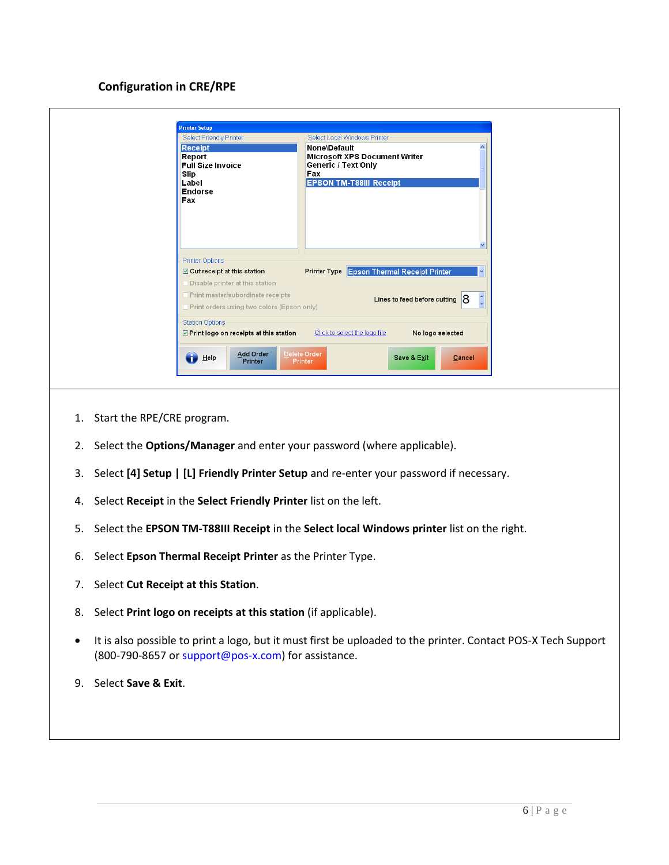## **Configuration in CRE/RPE**

| <b>Printer Options</b><br><b>Printer Type Epson Thermal Receipt Printer</b><br>☑ Cut receipt at this station<br>Disable printer at this station<br>Print master/subordinate receipts<br>Lines to feed before cutting $8$<br>Print orders using two colors (Epson only) | Select Friendly Printer<br><b>Receipt</b><br>Report<br><b>Full Size Invoice</b><br>Slip<br>Label<br><b>Endorse</b><br>Fax | Select Local Windows Printer<br><b>None\Default</b><br><b>Microsoft XPS Document Writer</b><br><b>Generic / Text Only</b><br>Fax<br><b>EPSON TM-T88III Receipt</b> |
|------------------------------------------------------------------------------------------------------------------------------------------------------------------------------------------------------------------------------------------------------------------------|---------------------------------------------------------------------------------------------------------------------------|--------------------------------------------------------------------------------------------------------------------------------------------------------------------|
|                                                                                                                                                                                                                                                                        |                                                                                                                           |                                                                                                                                                                    |
| <b>Station Options</b>                                                                                                                                                                                                                                                 |                                                                                                                           |                                                                                                                                                                    |

- 1. Start the RPE/CRE program.
- 2. Select the **Options/Manager** and enter your password (where applicable).
- 3. Select **[4] Setup | [L] Friendly Printer Setup** and re-enter your password if necessary.
- 4. Select **Receipt** in the **Select Friendly Printer** list on the left.
- 5. Select the **EPSON TM-T88III Receipt** in the **Select local Windows printer** list on the right.
- 6. Select **Epson Thermal Receipt Printer** as the Printer Type.
- 7. Select **Cut Receipt at this Station**.
- 8. Select **Print logo on receipts at this station** (if applicable).
- It is also possible to print a logo, but it must first be uploaded to the printer. Contact POS-X Tech Support (800-790-8657 or support@pos-x.com) for assistance.
- 9. Select **Save & Exit**.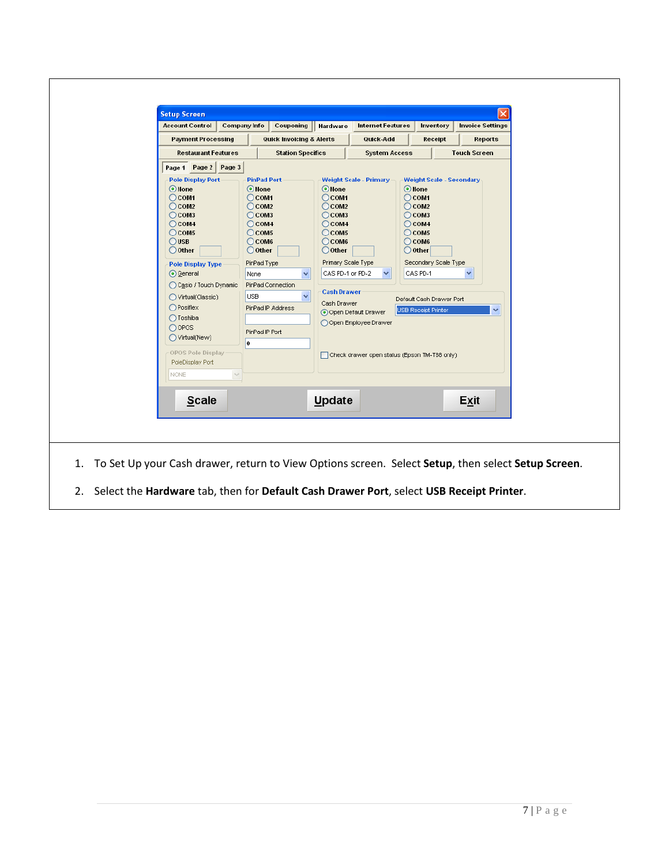| <b>Payment Processing</b><br>Quick-Add<br>Receipt<br>Reports<br><b>Quick Invoicing &amp; Alerts</b><br><b>Restaurant Features</b><br><b>Station Specifics</b><br><b>Touch Screen</b><br><b>System Access</b><br>Page 1 Page 2<br>Page 3<br><b>Pole Display Port</b><br><b>PinPad Port</b><br><b>Weight Scale - Primary</b><br><b>Weight Scale - Secondary</b><br>O None<br>O None<br>O None<br>O None<br>$\bigcirc$ COM1<br>$\bigcirc$ COM1<br>$\bigcirc$ COM1<br>$\bigcirc$ COM <sub>1</sub><br>$\bigcirc$ COM <sub>2</sub><br>$\bigcirc$ COM <sub>2</sub><br>$\bigcirc$ COM <sub>2</sub><br>$\bigcirc$ COM <sub>2</sub><br>$\bigcirc$ COM <sub>3</sub><br>$\bigcirc$ COM <sub>3</sub><br>$\bigcirc$ COM <sub>3</sub><br>$\bigcirc$ COM3<br>$\bigcirc$ COM4<br>$\bigcirc$ COM4<br>$\bigcirc$ COM4<br>$\bigcirc$ COM <sub>4</sub><br>$\bigcirc$ coms<br>$\bigcirc$ COM <sub>5</sub><br>$\bigcirc$ COM <sub>5</sub><br>$\bigcirc$ COM <sub>5</sub><br>$\bigcirc$ USB<br>$\bigcirc$ COM6<br>$\bigcirc$ COM6<br>$\bigcirc$ COM6<br>$\bigcirc$ Other<br>$\bigcirc$ Other<br>$\bigcirc$ Other<br>$\bigcirc$ Other<br>Primary Scale Type<br>Secondary Scale Type<br>PinPad Type<br><b>Pole Display Type</b><br>CAS PD-1 or PD-2<br>CAS PD-1<br>⊙ General<br>$\checkmark$<br>None<br>PinPad Connection<br>◯ Casio / Touch Dynamic<br><b>Cash Drawer</b><br>$\checkmark$<br>USB<br>◯ Virtual(Classic)<br>Default Cash Drawer Port<br>Cash Drawer<br>$\bigcirc$ Posiflex<br>PinPad IP Address<br><b>USB Receipt Printer</b><br>٧<br>⊙Open Default Drawer<br>◯ Toshiba<br>○ Open Employee Drawer<br>$\bigcirc$ opos<br>PinPad IP Port<br>Virtual(New)<br>$\mathbf{0}$<br>OPOS Pole Display<br>Check drawer open status (Epson TM-T88 only)<br>PoleDisplay Port<br><b>NONE</b> |  |
|---------------------------------------------------------------------------------------------------------------------------------------------------------------------------------------------------------------------------------------------------------------------------------------------------------------------------------------------------------------------------------------------------------------------------------------------------------------------------------------------------------------------------------------------------------------------------------------------------------------------------------------------------------------------------------------------------------------------------------------------------------------------------------------------------------------------------------------------------------------------------------------------------------------------------------------------------------------------------------------------------------------------------------------------------------------------------------------------------------------------------------------------------------------------------------------------------------------------------------------------------------------------------------------------------------------------------------------------------------------------------------------------------------------------------------------------------------------------------------------------------------------------------------------------------------------------------------------------------------------------------------------------------------------------------------------------------------------------------------------------------------------------|--|
|                                                                                                                                                                                                                                                                                                                                                                                                                                                                                                                                                                                                                                                                                                                                                                                                                                                                                                                                                                                                                                                                                                                                                                                                                                                                                                                                                                                                                                                                                                                                                                                                                                                                                                                                                                     |  |
|                                                                                                                                                                                                                                                                                                                                                                                                                                                                                                                                                                                                                                                                                                                                                                                                                                                                                                                                                                                                                                                                                                                                                                                                                                                                                                                                                                                                                                                                                                                                                                                                                                                                                                                                                                     |  |
|                                                                                                                                                                                                                                                                                                                                                                                                                                                                                                                                                                                                                                                                                                                                                                                                                                                                                                                                                                                                                                                                                                                                                                                                                                                                                                                                                                                                                                                                                                                                                                                                                                                                                                                                                                     |  |